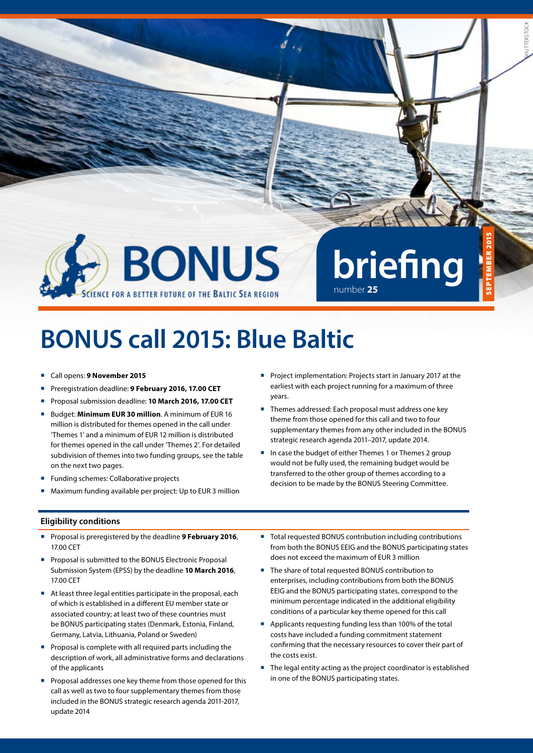

# **BONUS call 2015: Blue Baltic**

- Call opens: **9 November 2015**
- Preregistration deadline: 9 February 2016, 17.00 CET
- Proposal submission deadline: **10 March 2016, 17.00 CET**
- Budget: **Minimum EUR 30 million**. A minimum of EUR 16 million is distributed for themes opened in the call under 'Themes 1' and a minimum of EUR 12 million is distributed for themes opened in the call under 'Themes 2'. For detailed subdivision of themes into two funding groups, see the table on the next two pages.
- **Funding schemes: Collaborative projects**
- Maximum funding available per project: Up to EUR 3 million
- **Project implementation: Projects start in January 2017 at the** earliest with each project running for a maximum of three years.
- Themes addressed: Each proposal must address one key theme from those opened for this call and two to four supplementary themes from any other included in the BONUS strategic research agenda 2011–2017, update 2014.
- In case the budget of either Themes 1 or Themes 2 group would not be fully used, the remaining budget would be transferred to the other group of themes according to a decision to be made by the BONUS Steering Committee.

#### **Eligibility conditions**

- Proposal is preregistered by the deadline **9 February 2016**, 17.00 CET
- Proposal is submitted to the BONUS Electronic Proposal Submission System (EPSS) by the deadline **10 March 2016**, 17.00 CET
- At least three legal entities participate in the proposal, each of which is established in a different EU member state or associated country; at least two of these countries must be BONUS participating states (Denmark, Estonia, Finland, Germany, Latvia, Lithuania, Poland or Sweden)
- **Proposal is complete with all required parts including the** description of work, all administrative forms and declarations of the applicants
- Proposal addresses one key theme from those opened for this call as well as two to four supplementary themes from those included in the BONUS strategic research agenda 2011-2017, update 2014
- Total requested BONUS contribution including contributions from both the BONUS EEIG and the BONUS participating states does not exceed the maximum of EUR 3 million
- The share of total requested BONUS contribution to enterprises, including contributions from both the BONUS EEIG and the BONUS participating states, correspond to the minimum percentage indicated in the additional eligibility conditions of a particular key theme opened for this call
- Applicants requesting funding less than 100% of the total costs have included a funding commitment statement confirming that the necessary resources to cover their part of the costs exist.
- The legal entity acting as the project coordinator is established in one of the BONUS participating states.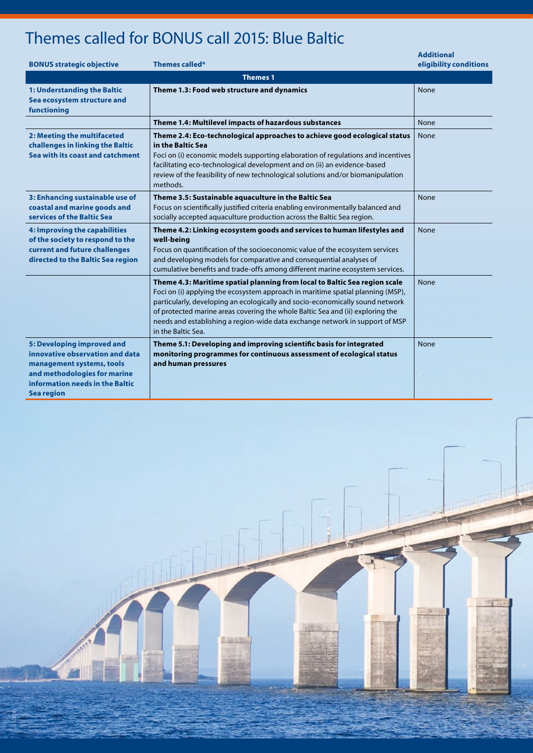## Themes called for BONUS call 2015: Blue Baltic

| <b>BONUS strategic objective</b>                                                                                                                                                   | Themes called*                                                                                                                                                                                                                                                                                                                                                                                                                         | <b>Additional</b><br>eligibility conditions |  |  |
|------------------------------------------------------------------------------------------------------------------------------------------------------------------------------------|----------------------------------------------------------------------------------------------------------------------------------------------------------------------------------------------------------------------------------------------------------------------------------------------------------------------------------------------------------------------------------------------------------------------------------------|---------------------------------------------|--|--|
| <b>Themes 1</b>                                                                                                                                                                    |                                                                                                                                                                                                                                                                                                                                                                                                                                        |                                             |  |  |
| 1: Understanding the Baltic<br>Sea ecosystem structure and<br>functioning                                                                                                          | Theme 1.3: Food web structure and dynamics                                                                                                                                                                                                                                                                                                                                                                                             | None                                        |  |  |
|                                                                                                                                                                                    | Theme 1.4: Multilevel impacts of hazardous substances                                                                                                                                                                                                                                                                                                                                                                                  | None                                        |  |  |
| 2: Meeting the multifaceted<br>challenges in linking the Baltic<br>Sea with its coast and catchment                                                                                | Theme 2.4: Eco-technological approaches to achieve good ecological status<br>in the Baltic Sea<br>Foci on (i) economic models supporting elaboration of regulations and incentives<br>facilitating eco-technological development and on (ii) an evidence-based<br>review of the feasibility of new technological solutions and/or biomanipulation<br>methods.                                                                          | None                                        |  |  |
| 3: Enhancing sustainable use of<br>coastal and marine goods and<br>services of the Baltic Sea                                                                                      | Theme 3.5: Sustainable aquaculture in the Baltic Sea<br>Focus on scientifically justified criteria enabling environmentally balanced and<br>socially accepted aquaculture production across the Baltic Sea region.                                                                                                                                                                                                                     | None                                        |  |  |
| 4: Improving the capabilities<br>of the society to respond to the<br>current and future challenges<br>directed to the Baltic Sea region                                            | Theme 4.2: Linking ecosystem goods and services to human lifestyles and<br>well-being<br>Focus on quantification of the socioeconomic value of the ecosystem services<br>and developing models for comparative and consequential analyses of<br>cumulative benefits and trade-offs among different marine ecosystem services.                                                                                                          | <b>None</b>                                 |  |  |
|                                                                                                                                                                                    | Theme 4.3: Maritime spatial planning from local to Baltic Sea region scale<br>Foci on (i) applying the ecosystem approach in maritime spatial planning (MSP),<br>particularly, developing an ecologically and socio-economically sound network<br>of protected marine areas covering the whole Baltic Sea and (ii) exploring the<br>needs and establishing a region-wide data exchange network in support of MSP<br>in the Baltic Sea. | <b>None</b>                                 |  |  |
| 5: Developing improved and<br>innovative observation and data<br>management systems, tools<br>and methodologies for marine<br>information needs in the Baltic<br><b>Sea region</b> | Theme 5.1: Developing and improving scientific basis for integrated<br>monitoring programmes for continuous assessment of ecological status<br>and human pressures                                                                                                                                                                                                                                                                     | None                                        |  |  |



ISTOCK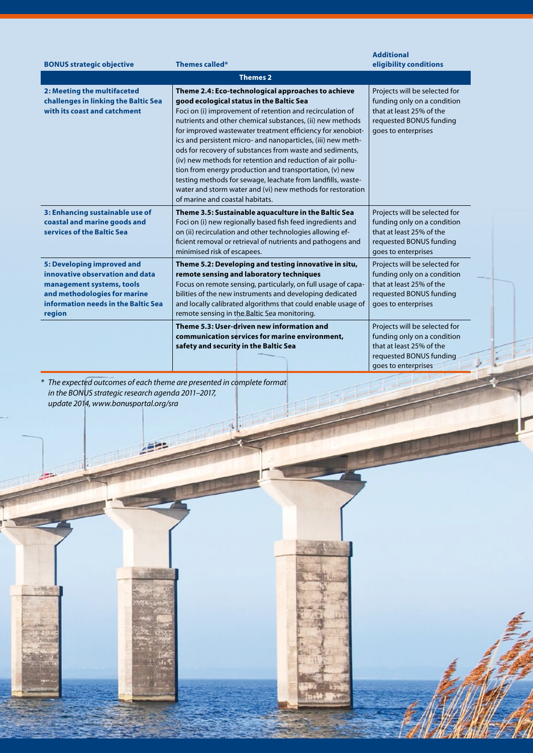|                                                                                                                                                                             |                                                                                                                                                                                                                                                                                                                                                                                                                                                                                                                                                                                                                                                                                                             | <b>Additional</b>                                                                                                                          |  |
|-----------------------------------------------------------------------------------------------------------------------------------------------------------------------------|-------------------------------------------------------------------------------------------------------------------------------------------------------------------------------------------------------------------------------------------------------------------------------------------------------------------------------------------------------------------------------------------------------------------------------------------------------------------------------------------------------------------------------------------------------------------------------------------------------------------------------------------------------------------------------------------------------------|--------------------------------------------------------------------------------------------------------------------------------------------|--|
| <b>BONUS strategic objective</b>                                                                                                                                            | <b>Themes called*</b>                                                                                                                                                                                                                                                                                                                                                                                                                                                                                                                                                                                                                                                                                       | eligibility conditions                                                                                                                     |  |
| <b>Themes 2</b>                                                                                                                                                             |                                                                                                                                                                                                                                                                                                                                                                                                                                                                                                                                                                                                                                                                                                             |                                                                                                                                            |  |
| 2: Meeting the multifaceted<br>challenges in linking the Baltic Sea<br>with its coast and catchment                                                                         | Theme 2.4: Eco-technological approaches to achieve<br>good ecological status in the Baltic Sea<br>Foci on (i) improvement of retention and recirculation of<br>nutrients and other chemical substances, (ii) new methods<br>for improved wastewater treatment efficiency for xenobiot-<br>ics and persistent micro- and nanoparticles, (iii) new meth-<br>ods for recovery of substances from waste and sediments,<br>(iv) new methods for retention and reduction of air pollu-<br>tion from energy production and transportation, (v) new<br>testing methods for sewage, leachate from landfills, waste-<br>water and storm water and (vi) new methods for restoration<br>of marine and coastal habitats. | Projects will be selected for<br>funding only on a condition<br>that at least 25% of the<br>requested BONUS funding<br>goes to enterprises |  |
| 3: Enhancing sustainable use of<br>coastal and marine goods and<br>services of the Baltic Sea                                                                               | Theme 3.5: Sustainable aquaculture in the Baltic Sea<br>Foci on (i) new regionally based fish feed ingredients and<br>on (ii) recirculation and other technologies allowing ef-<br>ficient removal or retrieval of nutrients and pathogens and<br>minimised risk of escapees.                                                                                                                                                                                                                                                                                                                                                                                                                               | Projects will be selected for<br>funding only on a condition<br>that at least 25% of the<br>requested BONUS funding<br>goes to enterprises |  |
| 5: Developing improved and<br>innovative observation and data<br>management systems, tools<br>and methodologies for marine<br>information needs in the Baltic Sea<br>region | Theme 5.2: Developing and testing innovative in situ,<br>remote sensing and laboratory techniques<br>Focus on remote sensing, particularly, on full usage of capa-<br>bilities of the new instruments and developing dedicated<br>and locally calibrated algorithms that could enable usage of<br>remote sensing in the Baltic Sea monitoring.                                                                                                                                                                                                                                                                                                                                                              | Projects will be selected for<br>funding only on a condition<br>that at least 25% of the<br>requested BONUS funding<br>goes to enterprises |  |
|                                                                                                                                                                             | Theme 5.3: User-driven new information and<br>communication services for marine environment,<br>safety and security in the Baltic Sea                                                                                                                                                                                                                                                                                                                                                                                                                                                                                                                                                                       | Projects will be selected for<br>funding only on a condition<br>that at least 25% of the<br>requested BONUS funding<br>goes to enterprises |  |

*\* The expected outcomes of each theme are presented in complete format in the BONUS strategic research agenda 2011–2017, update 2014, www.bonusportal.org/sra*